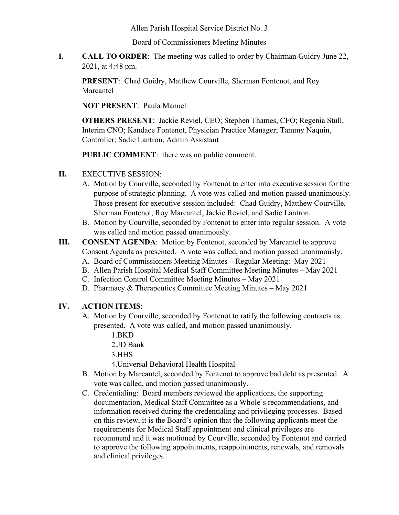Allen Parish Hospital Service District No. 3

Board of Commissioners Meeting Minutes

**I. CALL TO ORDER**: The meeting was called to order by Chairman Guidry June 22, 2021, at 4:48 pm.

**PRESENT**: Chad Guidry, Matthew Courville, Sherman Fontenot, and Roy Marcantel

**NOT PRESENT**: Paula Manuel

**OTHERS PRESENT**: Jackie Reviel, CEO; Stephen Thames, CFO; Regenia Stull, Interim CNO; Kandace Fontenot, Physician Practice Manager; Tammy Naquin, Controller; Sadie Lantron, Admin Assistant

**PUBLIC COMMENT**: there was no public comment.

- **II.** EXECUTIVE SESSION:
	- A. Motion by Courville, seconded by Fontenot to enter into executive session for the purpose of strategic planning. A vote was called and motion passed unanimously. Those present for executive session included: Chad Guidry, Matthew Courville, Sherman Fontenot, Roy Marcantel, Jackie Reviel, and Sadie Lantron.
	- B. Motion by Courville, seconded by Fontenot to enter into regular session. A vote was called and motion passed unanimously.
- **III. CONSENT AGENDA**: Motion by Fontenot, seconded by Marcantel to approve Consent Agenda as presented. A vote was called, and motion passed unanimously.
	- A. Board of Commissioners Meeting Minutes Regular Meeting: May 2021
	- B. Allen Parish Hospital Medical Staff Committee Meeting Minutes May 2021
	- C. Infection Control Committee Meeting Minutes May 2021
	- D. Pharmacy & Therapeutics Committee Meeting Minutes May 2021

## **IV. ACTION ITEMS**:

- A. Motion by Courville, seconded by Fontenot to ratify the following contracts as presented. A vote was called, and motion passed unanimously.
	- 1.BKD
	- 2.JD Bank
	- 3.HHS
	- 4.Universal Behavioral Health Hospital
- B. Motion by Marcantel, seconded by Fontenot to approve bad debt as presented. A vote was called, and motion passed unanimously.
- C. Credentialing: Board members reviewed the applications, the supporting documentation, Medical Staff Committee as a Whole's recommendations, and information received during the credentialing and privileging processes. Based on this review, it is the Board's opinion that the following applicants meet the requirements for Medical Staff appointment and clinical privileges are recommend and it was motioned by Courville, seconded by Fontenot and carried to approve the following appointments, reappointments, renewals, and removals and clinical privileges.